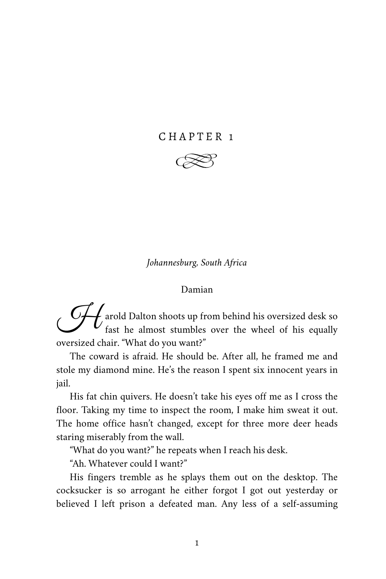# CHAPTER 1



*Johannesburg, South Africa*

#### Damian

**A** arold Dalton shoots up from behind his oversized desk so fast he almost stumbles over the wheel of his equally fast he almost stumbles over the wheel of his equally oversized chair. "What do you want?"

The coward is afraid. He should be. After all, he framed me and stole my diamond mine. He's the reason I spent six innocent years in jail.

His fat chin quivers. He doesn't take his eyes off me as I cross the floor. Taking my time to inspect the room, I make him sweat it out. The home office hasn't changed, except for three more deer heads staring miserably from the wall.

"What do you want?" he repeats when I reach his desk.

"Ah. Whatever could I want?"

His fingers tremble as he splays them out on the desktop. The cocksucker is so arrogant he either forgot I got out yesterday or believed I left prison a defeated man. Any less of a self-assuming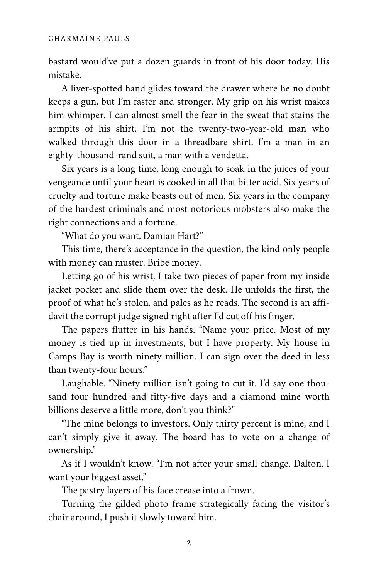bastard would've put a dozen guards in front of his door today. His mistake.

A liver-spotted hand glides toward the drawer where he no doubt keeps a gun, but I'm faster and stronger. My grip on his wrist makes him whimper. I can almost smell the fear in the sweat that stains the armpits of his shirt. I'm not the twenty-two-year-old man who walked through this door in a threadbare shirt. I'm a man in an eighty-thousand-rand suit, a man with a vendetta.

Six years is a long time, long enough to soak in the juices of your vengeance until your heart is cooked in all that bitter acid. Six years of cruelty and torture make beasts out of men. Six years in the company of the hardest criminals and most notorious mobsters also make the right connections and a fortune.

"What do you want, Damian Hart?"

This time, there's acceptance in the question, the kind only people with money can muster. Bribe money.

Letting go of his wrist, I take two pieces of paper from my inside jacket pocket and slide them over the desk. He unfolds the first, the proof of what he's stolen, and pales as he reads. The second is an affidavit the corrupt judge signed right after I'd cut off his finger.

The papers flutter in his hands. "Name your price. Most of my money is tied up in investments, but I have property. My house in Camps Bay is worth ninety million. I can sign over the deed in less than twenty-four hours."

Laughable. "Ninety million isn't going to cut it. I'd say one thou‐ sand four hundred and fifty-five days and a diamond mine worth billions deserve a little more, don't you think?"

"The mine belongs to investors. Only thirty percent is mine, and I can't simply give it away. The board has to vote on a change of ownership."

As if I wouldn't know. "I'm not after your small change, Dalton. I want your biggest asset."

The pastry layers of his face crease into a frown.

Turning the gilded photo frame strategically facing the visitor's chair around, I push it slowly toward him.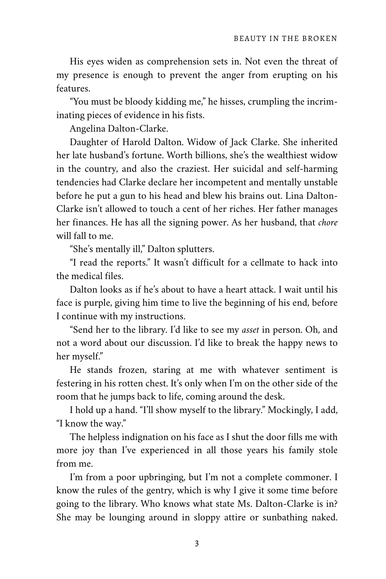His eyes widen as comprehension sets in. Not even the threat of my presence is enough to prevent the anger from erupting on his features.

"You must be bloody kidding me," he hisses, crumpling the incrim‐ inating pieces of evidence in his fists.

Angelina Dalton-Clarke.

Daughter of Harold Dalton. Widow of Jack Clarke. She inherited her late husband's fortune. Worth billions, she's the wealthiest widow in the country, and also the craziest. Her suicidal and self-harming tendencies had Clarke declare her incompetent and mentally unstable before he put a gun to his head and blew his brains out. Lina Dalton-Clarke isn't allowed to touch a cent of her riches. Her father manages her finances. He has all the signing power. As her husband, that *chore* will fall to me.

"She's mentally ill," Dalton splutters.

"I read the reports." It wasn't difficult for a cellmate to hack into the medical files.

Dalton looks as if he's about to have a heart attack. I wait until his face is purple, giving him time to live the beginning of his end, before I continue with my instructions.

"Send her to the library. I'd like to see my *asset* in person. Oh, and not a word about our discussion. I'd like to break the happy news to her myself."

He stands frozen, staring at me with whatever sentiment is festering in his rotten chest. It's only when I'm on the other side of the room that he jumps back to life, coming around the desk.

I hold up a hand. "I'll show myself to the library." Mockingly, I add, "I know the way."

The helpless indignation on his face as I shut the door fills me with more joy than I've experienced in all those years his family stole from me.

I'm from a poor upbringing, but I'm not a complete commoner. I know the rules of the gentry, which is why I give it some time before going to the library. Who knows what state Ms. Dalton-Clarke is in? She may be lounging around in sloppy attire or sunbathing naked.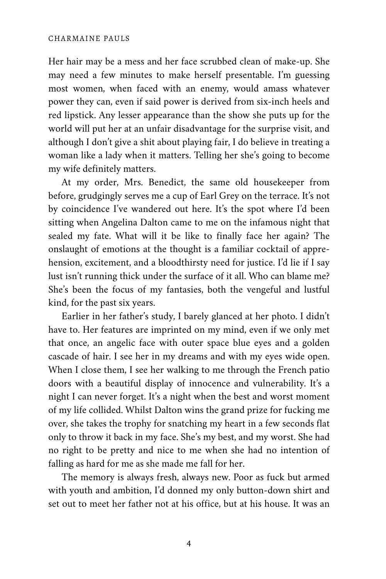#### CHARMAINE PAULS

Her hair may be a mess and her face scrubbed clean of make-up. She may need a few minutes to make herself presentable. I'm guessing most women, when faced with an enemy, would amass whatever power they can, even if said power is derived from six-inch heels and red lipstick. Any lesser appearance than the show she puts up for the world will put her at an unfair disadvantage for the surprise visit, and although I don't give a shit about playing fair, I do believe in treating a woman like a lady when it matters. Telling her she's going to become my wife definitely matters.

At my order, Mrs. Benedict, the same old housekeeper from before, grudgingly serves me a cup of Earl Grey on the terrace. It's not by coincidence I've wandered out here. It's the spot where I'd been sitting when Angelina Dalton came to me on the infamous night that sealed my fate. What will it be like to finally face her again? The onslaught of emotions at the thought is a familiar cocktail of appre‐ hension, excitement, and a bloodthirsty need for justice. I'd lie if I say lust isn't running thick under the surface of it all. Who can blame me? She's been the focus of my fantasies, both the vengeful and lustful kind, for the past six years.

Earlier in her father's study, I barely glanced at her photo. I didn't have to. Her features are imprinted on my mind, even if we only met that once, an angelic face with outer space blue eyes and a golden cascade of hair. I see her in my dreams and with my eyes wide open. When I close them, I see her walking to me through the French patio doors with a beautiful display of innocence and vulnerability. It's a night I can never forget. It's a night when the best and worst moment of my life collided. Whilst Dalton wins the grand prize for fucking me over, she takes the trophy for snatching my heart in a few seconds flat only to throw it back in my face. She's my best, and my worst. She had no right to be pretty and nice to me when she had no intention of falling as hard for me as she made me fall for her.

The memory is always fresh, always new. Poor as fuck but armed with youth and ambition, I'd donned my only button-down shirt and set out to meet her father not at his office, but at his house. It was an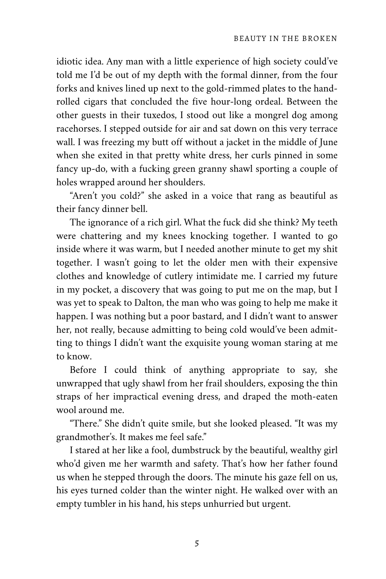idiotic idea. Any man with a little experience of high society could've told me I'd be out of my depth with the formal dinner, from the four forks and knives lined up next to the gold-rimmed plates to the handrolled cigars that concluded the five hour-long ordeal. Between the other guests in their tuxedos, I stood out like a mongrel dog among racehorses. I stepped outside for air and sat down on this very terrace wall. I was freezing my butt off without a jacket in the middle of June when she exited in that pretty white dress, her curls pinned in some fancy up-do, with a fucking green granny shawl sporting a couple of holes wrapped around her shoulders.

"Aren't you cold?" she asked in a voice that rang as beautiful as their fancy dinner bell.

The ignorance of a rich girl. What the fuck did she think? My teeth were chattering and my knees knocking together. I wanted to go inside where it was warm, but I needed another minute to get my shit together. I wasn't going to let the older men with their expensive clothes and knowledge of cutlery intimidate me. I carried my future in my pocket, a discovery that was going to put me on the map, but I was yet to speak to Dalton, the man who was going to help me make it happen. I was nothing but a poor bastard, and I didn't want to answer her, not really, because admitting to being cold would've been admitting to things I didn't want the exquisite young woman staring at me to know.

Before I could think of anything appropriate to say, she unwrapped that ugly shawl from her frail shoulders, exposing the thin straps of her impractical evening dress, and draped the moth-eaten wool around me.

"There." She didn't quite smile, but she looked pleased. "It was my grandmother's. It makes me feel safe."

I stared at her like a fool, dumbstruck by the beautiful, wealthy girl who'd given me her warmth and safety. That's how her father found us when he stepped through the doors. The minute his gaze fell on us, his eyes turned colder than the winter night. He walked over with an empty tumbler in his hand, his steps unhurried but urgent.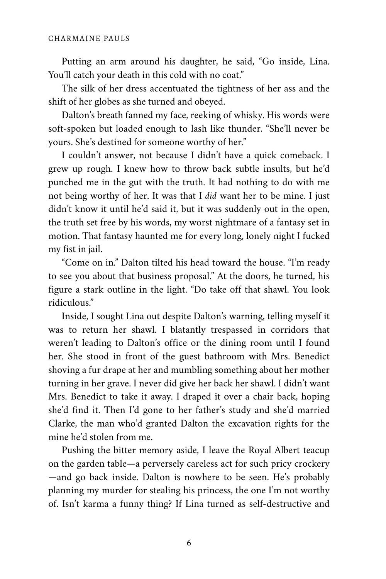Putting an arm around his daughter, he said, "Go inside, Lina. You'll catch your death in this cold with no coat."

The silk of her dress accentuated the tightness of her ass and the shift of her globes as she turned and obeyed.

Dalton's breath fanned my face, reeking of whisky. His words were soft-spoken but loaded enough to lash like thunder. "She'll never be yours. She's destined for someone worthy of her."

I couldn't answer, not because I didn't have a quick comeback. I grew up rough. I knew how to throw back subtle insults, but he'd punched me in the gut with the truth. It had nothing to do with me not being worthy of her. It was that I *did* want her to be mine. I just didn't know it until he'd said it, but it was suddenly out in the open, the truth set free by his words, my worst nightmare of a fantasy set in motion. That fantasy haunted me for every long, lonely night I fucked my fist in jail.

"Come on in." Dalton tilted his head toward the house. "I'm ready to see you about that business proposal." At the doors, he turned, his figure a stark outline in the light. "Do take off that shawl. You look ridiculous."

Inside, I sought Lina out despite Dalton's warning, telling myself it was to return her shawl. I blatantly trespassed in corridors that weren't leading to Dalton's office or the dining room until I found her. She stood in front of the guest bathroom with Mrs. Benedict shoving a fur drape at her and mumbling something about her mother turning in her grave. I never did give her back her shawl. I didn't want Mrs. Benedict to take it away. I draped it over a chair back, hoping she'd find it. Then I'd gone to her father's study and she'd married Clarke, the man who'd granted Dalton the excavation rights for the mine he'd stolen from me.

Pushing the bitter memory aside, I leave the Royal Albert teacup on the garden table—a perversely careless act for such pricy crockery —and go back inside. Dalton is nowhere to be seen. He's probably planning my murder for stealing his princess, the one I'm not worthy of. Isn't karma a funny thing? If Lina turned as self-destructive and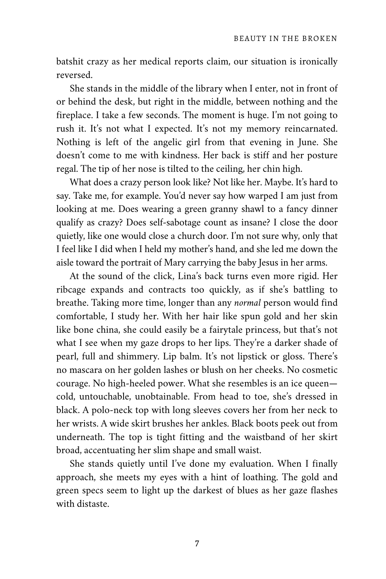batshit crazy as her medical reports claim, our situation is ironically reversed.

She stands in the middle of the library when I enter, not in front of or behind the desk, but right in the middle, between nothing and the fireplace. I take a few seconds. The moment is huge. I'm not going to rush it. It's not what I expected. It's not my memory reincarnated. Nothing is left of the angelic girl from that evening in June. She doesn't come to me with kindness. Her back is stiff and her posture regal. The tip of her nose is tilted to the ceiling, her chin high.

What does a crazy person look like? Not like her. Maybe. It's hard to say. Take me, for example. You'd never say how warped I am just from looking at me. Does wearing a green granny shawl to a fancy dinner qualify as crazy? Does self-sabotage count as insane? I close the door quietly, like one would close a church door. I'm not sure why, only that I feel like I did when I held my mother's hand, and she led me down the aisle toward the portrait of Mary carrying the baby Jesus in her arms.

At the sound of the click, Lina's back turns even more rigid. Her ribcage expands and contracts too quickly, as if she's battling to breathe. Taking more time, longer than any *normal* person would find comfortable, I study her. With her hair like spun gold and her skin like bone china, she could easily be a fairytale princess, but that's not what I see when my gaze drops to her lips. They're a darker shade of pearl, full and shimmery. Lip balm. It's not lipstick or gloss. There's no mascara on her golden lashes or blush on her cheeks. No cosmetic courage. No high-heeled power. What she resembles is an ice queen cold, untouchable, unobtainable. From head to toe, she's dressed in black. A polo-neck top with long sleeves covers her from her neck to her wrists. A wide skirt brushes her ankles. Black boots peek out from underneath. The top is tight fitting and the waistband of her skirt broad, accentuating her slim shape and small waist.

She stands quietly until I've done my evaluation. When I finally approach, she meets my eyes with a hint of loathing. The gold and green specs seem to light up the darkest of blues as her gaze flashes with distaste.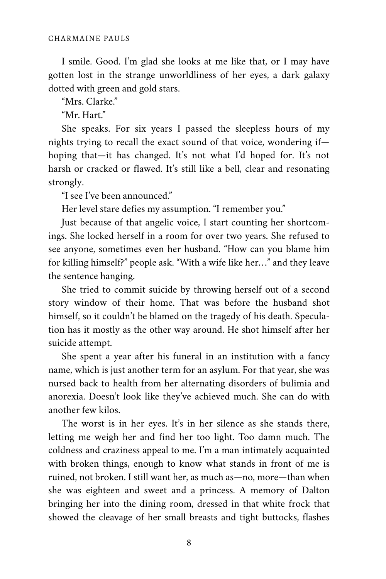I smile. Good. I'm glad she looks at me like that, or I may have gotten lost in the strange unworldliness of her eyes, a dark galaxy dotted with green and gold stars.

"Mrs. Clarke."

"Mr. Hart."

She speaks. For six years I passed the sleepless hours of my nights trying to recall the exact sound of that voice, wondering if hoping that—it has changed. It's not what I'd hoped for. It's not harsh or cracked or flawed. It's still like a bell, clear and resonating strongly.

"I see I've been announced."

Her level stare defies my assumption. "I remember you."

Just because of that angelic voice, I start counting her shortcom‐ ings. She locked herself in a room for over two years. She refused to see anyone, sometimes even her husband. "How can you blame him for killing himself?" people ask. "With a wife like her…" and they leave the sentence hanging.

She tried to commit suicide by throwing herself out of a second story window of their home. That was before the husband shot himself, so it couldn't be blamed on the tragedy of his death. Speculation has it mostly as the other way around. He shot himself after her suicide attempt.

She spent a year after his funeral in an institution with a fancy name, which is just another term for an asylum. For that year, she was nursed back to health from her alternating disorders of bulimia and anorexia. Doesn't look like they've achieved much. She can do with another few kilos.

The worst is in her eyes. It's in her silence as she stands there, letting me weigh her and find her too light. Too damn much. The coldness and craziness appeal to me. I'm a man intimately acquainted with broken things, enough to know what stands in front of me is ruined, not broken. I still want her, as much as—no, more—than when she was eighteen and sweet and a princess. A memory of Dalton bringing her into the dining room, dressed in that white frock that showed the cleavage of her small breasts and tight buttocks, flashes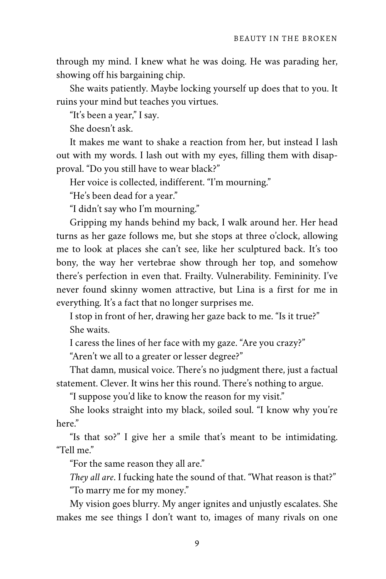through my mind. I knew what he was doing. He was parading her, showing off his bargaining chip.

She waits patiently. Maybe locking yourself up does that to you. It ruins your mind but teaches you virtues.

"It's been a year," I say.

She doesn't ask.

It makes me want to shake a reaction from her, but instead I lash out with my words. I lash out with my eyes, filling them with disap‐ proval. "Do you still have to wear black?"

Her voice is collected, indifferent. "I'm mourning."

"He's been dead for a year."

"I didn't say who I'm mourning."

Gripping my hands behind my back, I walk around her. Her head turns as her gaze follows me, but she stops at three o'clock, allowing me to look at places she can't see, like her sculptured back. It's too bony, the way her vertebrae show through her top, and somehow there's perfection in even that. Frailty. Vulnerability. Femininity. I've never found skinny women attractive, but Lina is a first for me in everything. It's a fact that no longer surprises me.

I stop in front of her, drawing her gaze back to me. "Is it true?" She waits.

I caress the lines of her face with my gaze. "Are you crazy?"

"Aren't we all to a greater or lesser degree?"

That damn, musical voice. There's no judgment there, just a factual statement. Clever. It wins her this round. There's nothing to argue.

"I suppose you'd like to know the reason for my visit."

She looks straight into my black, soiled soul. "I know why you're here."

"Is that so?" I give her a smile that's meant to be intimidating. "Tell me."

"For the same reason they all are."

*They all are*. I fucking hate the sound of that. "What reason is that?" "To marry me for my money."

My vision goes blurry. My anger ignites and unjustly escalates. She makes me see things I don't want to, images of many rivals on one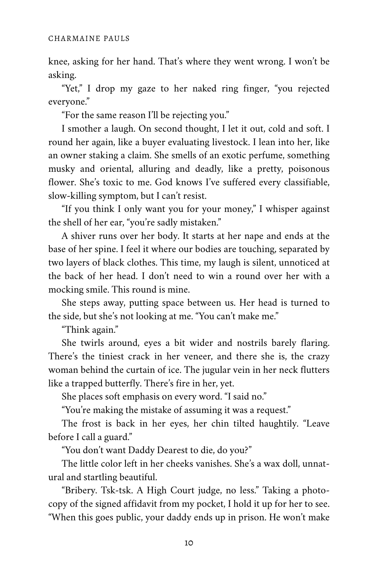knee, asking for her hand. That's where they went wrong. I won't be asking.

"Yet," I drop my gaze to her naked ring finger, "you rejected everyone."

"For the same reason I'll be rejecting you."

I smother a laugh. On second thought, I let it out, cold and soft. I round her again, like a buyer evaluating livestock. I lean into her, like an owner staking a claim. She smells of an exotic perfume, something musky and oriental, alluring and deadly, like a pretty, poisonous flower. She's toxic to me. God knows I've suffered every classifiable, slow-killing symptom, but I can't resist.

"If you think I only want you for your money," I whisper against the shell of her ear, "you're sadly mistaken."

A shiver runs over her body. It starts at her nape and ends at the base of her spine. I feel it where our bodies are touching, separated by two layers of black clothes. This time, my laugh is silent, unnoticed at the back of her head. I don't need to win a round over her with a mocking smile. This round is mine.

She steps away, putting space between us. Her head is turned to the side, but she's not looking at me. "You can't make me."

"Think again."

She twirls around, eyes a bit wider and nostrils barely flaring. There's the tiniest crack in her veneer, and there she is, the crazy woman behind the curtain of ice. The jugular vein in her neck flutters like a trapped butterfly. There's fire in her, yet.

She places soft emphasis on every word. "I said no."

"You're making the mistake of assuming it was a request."

The frost is back in her eyes, her chin tilted haughtily. "Leave before I call a guard."

"You don't want Daddy Dearest to die, do you?"

The little color left in her cheeks vanishes. She's a wax doll, unnat‐ ural and startling beautiful.

"Bribery. Tsk-tsk. A High Court judge, no less." Taking a photo‐ copy of the signed affidavit from my pocket, I hold it up for her to see. "When this goes public, your daddy ends up in prison. He won't make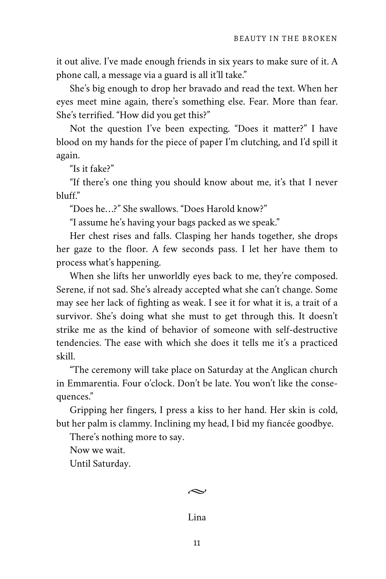it out alive. I've made enough friends in six years to make sure of it. A phone call, a message via a guard is all it'll take."

She's big enough to drop her bravado and read the text. When her eyes meet mine again, there's something else. Fear. More than fear. She's terrified. "How did you get this?"

Not the question I've been expecting. "Does it matter?" I have blood on my hands for the piece of paper I'm clutching, and I'd spill it again.

"Is it fake?"

"If there's one thing you should know about me, it's that I never bluff."

"Does he…?" She swallows. "Does Harold know?"

"I assume he's having your bags packed as we speak."

Her chest rises and falls. Clasping her hands together, she drops her gaze to the floor. A few seconds pass. I let her have them to process what's happening.

When she lifts her unworldly eyes back to me, they're composed. Serene, if not sad. She's already accepted what she can't change. Some may see her lack of fighting as weak. I see it for what it is, a trait of a survivor. She's doing what she must to get through this. It doesn't strike me as the kind of behavior of someone with self-destructive tendencies. The ease with which she does it tells me it's a practiced skill.

"The ceremony will take place on Saturday at the Anglican church in Emmarentia. Four o'clock. Don't be late. You won't like the consequences."

Gripping her fingers, I press a kiss to her hand. Her skin is cold, but her palm is clammy. Inclining my head, I bid my fiancée goodbye.

There's nothing more to say.

Now we wait.

Until Saturday.

## $\sim$

## Lina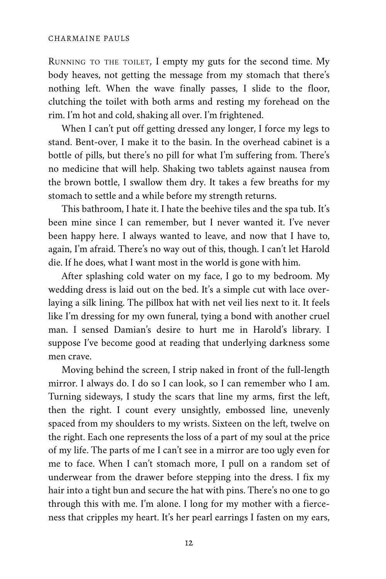RUNNING TO THE TOILET, I empty my guts for the second time. My body heaves, not getting the message from my stomach that there's nothing left. When the wave finally passes, I slide to the floor, clutching the toilet with both arms and resting my forehead on the rim. I'm hot and cold, shaking all over. I'm frightened.

When I can't put off getting dressed any longer, I force my legs to stand. Bent-over, I make it to the basin. In the overhead cabinet is a bottle of pills, but there's no pill for what I'm suffering from. There's no medicine that will help. Shaking two tablets against nausea from the brown bottle, I swallow them dry. It takes a few breaths for my stomach to settle and a while before my strength returns.

This bathroom, I hate it. I hate the beehive tiles and the spa tub. It's been mine since I can remember, but I never wanted it. I've never been happy here. I always wanted to leave, and now that I have to, again, I'm afraid. There's no way out of this, though. I can't let Harold die. If he does, what I want most in the world is gone with him.

After splashing cold water on my face, I go to my bedroom. My wedding dress is laid out on the bed. It's a simple cut with lace overlaying a silk lining. The pillbox hat with net veil lies next to it. It feels like I'm dressing for my own funeral, tying a bond with another cruel man. I sensed Damian's desire to hurt me in Harold's library. I suppose I've become good at reading that underlying darkness some men crave.

Moving behind the screen, I strip naked in front of the full-length mirror. I always do. I do so I can look, so I can remember who I am. Turning sideways, I study the scars that line my arms, first the left, then the right. I count every unsightly, embossed line, unevenly spaced from my shoulders to my wrists. Sixteen on the left, twelve on the right. Each one represents the loss of a part of my soul at the price of my life. The parts of me I can't see in a mirror are too ugly even for me to face. When I can't stomach more, I pull on a random set of underwear from the drawer before stepping into the dress. I fix my hair into a tight bun and secure the hat with pins. There's no one to go through this with me. I'm alone. I long for my mother with a fierceness that cripples my heart. It's her pearl earrings I fasten on my ears,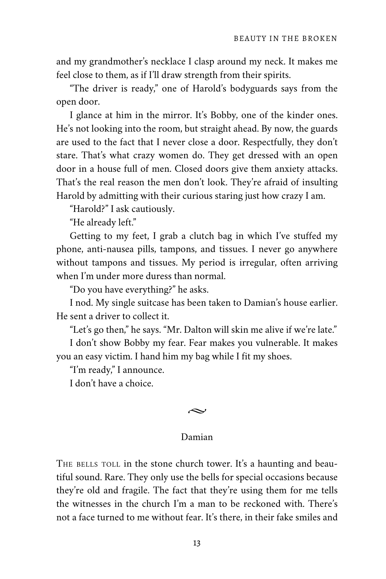and my grandmother's necklace I clasp around my neck. It makes me feel close to them, as if I'll draw strength from their spirits.

"The driver is ready," one of Harold's bodyguards says from the open door.

I glance at him in the mirror. It's Bobby, one of the kinder ones. He's not looking into the room, but straight ahead. By now, the guards are used to the fact that I never close a door. Respectfully, they don't stare. That's what crazy women do. They get dressed with an open door in a house full of men. Closed doors give them anxiety attacks. That's the real reason the men don't look. They're afraid of insulting Harold by admitting with their curious staring just how crazy I am.

"Harold?" I ask cautiously.

"He already left."

Getting to my feet, I grab a clutch bag in which I've stuffed my phone, anti-nausea pills, tampons, and tissues. I never go anywhere without tampons and tissues. My period is irregular, often arriving when I'm under more duress than normal.

"Do you have everything?" he asks.

I nod. My single suitcase has been taken to Damian's house earlier. He sent a driver to collect it.

"Let's go then," he says. "Mr. Dalton will skin me alive if we're late."

I don't show Bobby my fear. Fear makes you vulnerable. It makes you an easy victim. I hand him my bag while I fit my shoes.

"I'm ready," I announce.

I don't have a choice.

### $\sim$

## Damian

THE BELLS TOLL in the stone church tower. It's a haunting and beautiful sound. Rare. They only use the bells for special occasions because they're old and fragile. The fact that they're using them for me tells the witnesses in the church I'm a man to be reckoned with. There's not a face turned to me without fear. It's there, in their fake smiles and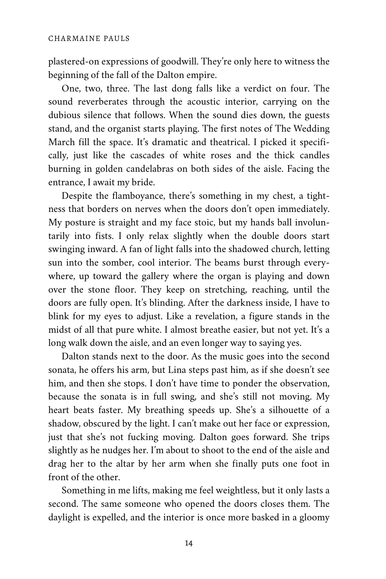plastered-on expressions of goodwill. They're only here to witness the beginning of the fall of the Dalton empire.

One, two, three. The last dong falls like a verdict on four. The sound reverberates through the acoustic interior, carrying on the dubious silence that follows. When the sound dies down, the guests stand, and the organist starts playing. The first notes of The Wedding March fill the space. It's dramatic and theatrical. I picked it specifically, just like the cascades of white roses and the thick candles burning in golden candelabras on both sides of the aisle. Facing the entrance, I await my bride.

Despite the flamboyance, there's something in my chest, a tightness that borders on nerves when the doors don't open immediately. My posture is straight and my face stoic, but my hands ball involun‐ tarily into fists. I only relax slightly when the double doors start swinging inward. A fan of light falls into the shadowed church, letting sun into the somber, cool interior. The beams burst through everywhere, up toward the gallery where the organ is playing and down over the stone floor. They keep on stretching, reaching, until the doors are fully open. It's blinding. After the darkness inside, I have to blink for my eyes to adjust. Like a revelation, a figure stands in the midst of all that pure white. I almost breathe easier, but not yet. It's a long walk down the aisle, and an even longer way to saying yes.

Dalton stands next to the door. As the music goes into the second sonata, he offers his arm, but Lina steps past him, as if she doesn't see him, and then she stops. I don't have time to ponder the observation, because the sonata is in full swing, and she's still not moving. My heart beats faster. My breathing speeds up. She's a silhouette of a shadow, obscured by the light. I can't make out her face or expression, just that she's not fucking moving. Dalton goes forward. She trips slightly as he nudges her. I'm about to shoot to the end of the aisle and drag her to the altar by her arm when she finally puts one foot in front of the other.

Something in me lifts, making me feel weightless, but it only lasts a second. The same someone who opened the doors closes them. The daylight is expelled, and the interior is once more basked in a gloomy